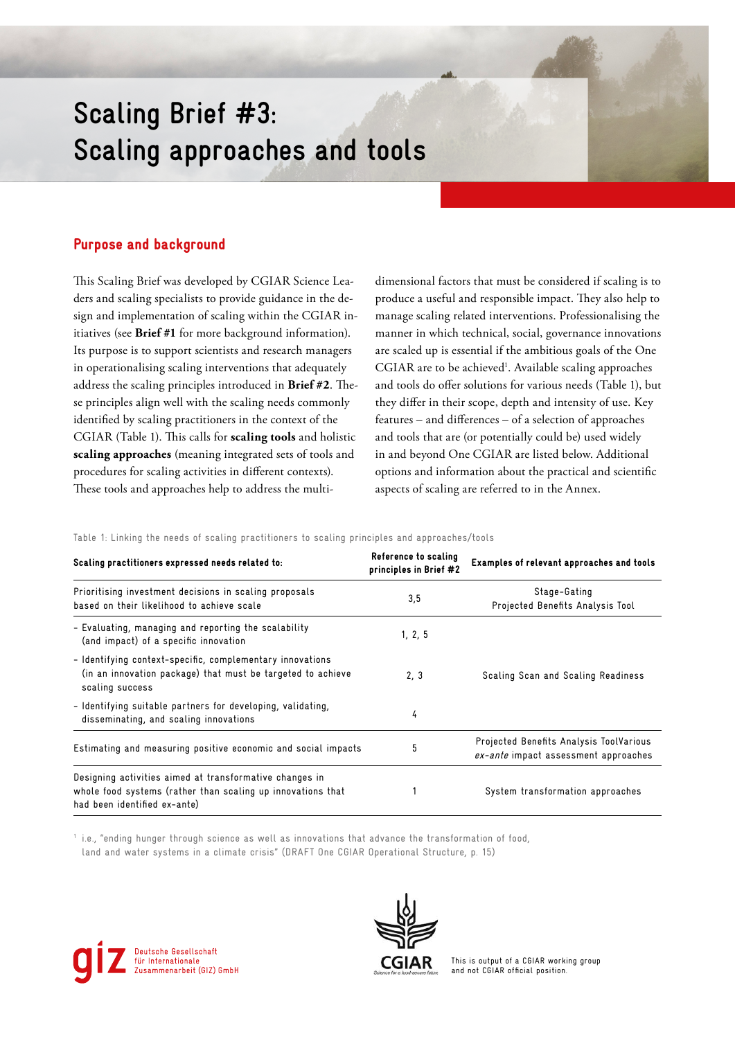# **Scaling Brief #3: Scaling approaches and tools**

# Purpose and background

This Scaling Brief was developed by CGIAR Science Leaders and scaling specialists to provide guidance in the design and implementation of scaling within the CGIAR initiatives (see **Brief #1** for more background information). Its purpose is to support scientists and research managers in operationalising scaling interventions that adequately address the scaling principles introduced in **Brief #2**. These principles align well with the scaling needs commonly identified by scaling practitioners in the context of the CGIAR (Table 1). This calls for **scaling tools** and holistic **scaling approaches** (meaning integrated sets of tools and procedures for scaling activities in different contexts). These tools and approaches help to address the multidimensional factors that must be considered if scaling is to produce a useful and responsible impact. They also help to manage scaling related interventions. Professionalising the manner in which technical, social, governance innovations are scaled up is essential if the ambitious goals of the One CGIAR are to be achieved<sup>1</sup>. Available scaling approaches and tools do offer solutions for various needs (Table 1), but they differ in their scope, depth and intensity of use. Key features – and differences – of a selection of approaches and tools that are (or potentially could be) used widely in and beyond One CGIAR are listed below. Additional options and information about the practical and scientific aspects of scaling are referred to in the Annex.

Table 1: Linking the needs of scaling practitioners to scaling principles and approaches/tools

| Scaling practitioners expressed needs related to:                                                                                                      | Reference to scaling<br>principles in Brief #2 | Examples of relevant approaches and tools                                       |
|--------------------------------------------------------------------------------------------------------------------------------------------------------|------------------------------------------------|---------------------------------------------------------------------------------|
| Prioritising investment decisions in scaling proposals<br>based on their likelihood to achieve scale                                                   | 3,5                                            | Stage-Gating<br>Projected Benefits Analysis Tool                                |
| - Evaluating, managing and reporting the scalability<br>(and impact) of a specific innovation                                                          | 1, 2, 5                                        |                                                                                 |
| - Identifying context-specific, complementary innovations<br>(in an innovation package) that must be targeted to achieve<br>scaling success            | 2, 3                                           | Scaling Scan and Scaling Readiness                                              |
| - Identifying suitable partners for developing, validating,<br>disseminating, and scaling innovations                                                  | 4                                              |                                                                                 |
| Estimating and measuring positive economic and social impacts                                                                                          | 5                                              | Projected Benefits Analysis ToolVarious<br>ex-ante impact assessment approaches |
| Designing activities aimed at transformative changes in<br>whole food systems (rather than scaling up innovations that<br>had been identified ex-ante) |                                                | System transformation approaches                                                |

1 i.e., "ending hunger through science as well as innovations that advance the transformation of food, land and water systems in a climate crisis" (DRAFT One CGIAR Operational Structure, p. 15)





This is output of a CGIAR working group and not CGIAR official position.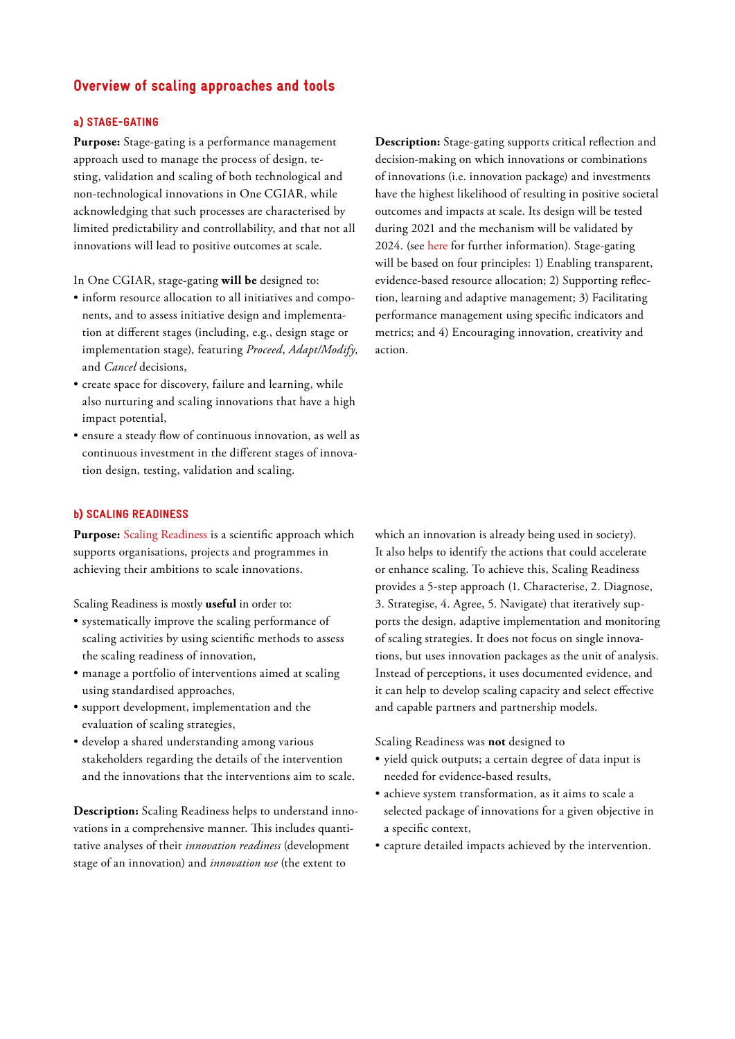# Overview of scaling approaches and tools

#### a) STAGE-GATING

**Purpose:** Stage-gating is a performance management approach used to manage the process of design, testing, validation and scaling of both technological and non-technological innovations in One CGIAR, while acknowledging that such processes are characterised by limited predictability and controllability, and that not all innovations will lead to positive outcomes at scale.

In One CGIAR, stage-gating **will be** designed to:

- inform resource allocation to all initiatives and components, and to assess initiative design and implementation at different stages (including, e.g., design stage or implementation stage), featuring *Proceed*, *Adapt/Modify*, and *Cancel* decisions,
- create space for discovery, failure and learning, while also nurturing and scaling innovations that have a high impact potential,
- ensure a steady flow of continuous innovation, as well as continuous investment in the different stages of innovation design, testing, validation and scaling.

**Description:** Stage-gating supports critical reflection and decision-making on which innovations or combinations of innovations (i.e. innovation package) and investments have the highest likelihood of resulting in positive societal outcomes and impacts at scale. Its design will be tested during 2021 and the mechanism will be validated by 2024. (see [here](https://storage.googleapis.com/cgiarorg/2020/11/SB18-02aii_CGIAR-Performance-and-Results-Management-Framework-2022-30.pdf) for further information). Stage-gating will be based on four principles: 1) Enabling transparent, evidence-based resource allocation; 2) Supporting reflection, learning and adaptive management; 3) Facilitating performance management using specific indicators and metrics; and 4) Encouraging innovation, creativity and action.

#### b) SCALING READINESS

**Purpose:** [Scaling Readiness](https://www.scalingreadiness.org/) is a scientific approach which supports organisations, projects and programmes in achieving their ambitions to scale innovations.

Scaling Readiness is mostly **useful** in order to:

- systematically improve the scaling performance of scaling activities by using scientific methods to assess the scaling readiness of innovation,
- manage a portfolio of interventions aimed at scaling using standardised approaches,
- support development, implementation and the evaluation of scaling strategies,
- develop a shared understanding among various stakeholders regarding the details of the intervention and the innovations that the interventions aim to scale.

**Description:** Scaling Readiness helps to understand innovations in a comprehensive manner. This includes quantitative analyses of their *innovation readiness* (development stage of an innovation) and *innovation use* (the extent to

which an innovation is already being used in society). It also helps to identify the actions that could accelerate or enhance scaling. To achieve this, Scaling Readiness provides a 5-step approach (1. Characterise, 2. Diagnose, 3. Strategise, 4. Agree, 5. Navigate) that iteratively supports the design, adaptive implementation and monitoring of scaling strategies. It does not focus on single innovations, but uses innovation packages as the unit of analysis. Instead of perceptions, it uses documented evidence, and it can help to develop scaling capacity and select effective and capable partners and partnership models.

Scaling Readiness was **not** designed to

- yield quick outputs; a certain degree of data input is needed for evidence-based results,
- achieve system transformation, as it aims to scale a selected package of innovations for a given objective in a specific context,
- capture detailed impacts achieved by the intervention.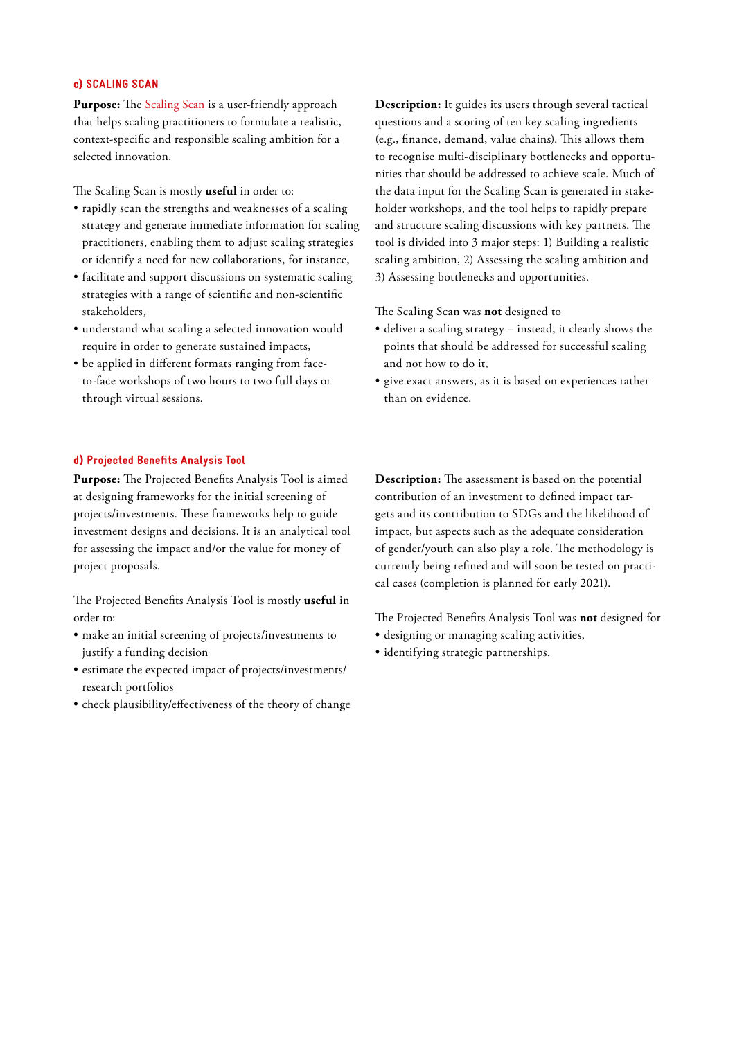#### c) SCALING SCAN

Purpose: The [Scaling Scan](https://repository.cimmyt.org/handle/10883/20505) is a user-friendly approach that helps scaling practitioners to formulate a realistic, context-specific and responsible scaling ambition for a selected innovation.

The Scaling Scan is mostly **useful** in order to:

- rapidly scan the strengths and weaknesses of a scaling strategy and generate immediate information for scaling practitioners, enabling them to adjust scaling strategies or identify a need for new collaborations, for instance,
- facilitate and support discussions on systematic scaling strategies with a range of scientific and non-scientific stakeholders,
- understand what scaling a selected innovation would require in order to generate sustained impacts,
- be applied in different formats ranging from faceto-face workshops of two hours to two full days or through virtual sessions.

#### d) Projected Benefits Analysis Tool

**Purpose:** The Projected Benefits Analysis Tool is aimed at designing frameworks for the initial screening of projects/investments. These frameworks help to guide investment designs and decisions. It is an analytical tool for assessing the impact and/or the value for money of project proposals.

The Projected Benefits Analysis Tool is mostly **useful** in order to:

- make an initial screening of projects/investments to justify a funding decision
- estimate the expected impact of projects/investments/ research portfolios
- check plausibility/effectiveness of the theory of change

**Description:** It guides its users through several tactical questions and a scoring of ten key scaling ingredients (e.g., finance, demand, value chains). This allows them to recognise multi-disciplinary bottlenecks and opportunities that should be addressed to achieve scale. Much of the data input for the Scaling Scan is generated in stakeholder workshops, and the tool helps to rapidly prepare and structure scaling discussions with key partners. The tool is divided into 3 major steps: 1) Building a realistic scaling ambition, 2) Assessing the scaling ambition and 3) Assessing bottlenecks and opportunities.

The Scaling Scan was **not** designed to

- deliver a scaling strategy instead, it clearly shows the points that should be addressed for successful scaling and not how to do it,
- give exact answers, as it is based on experiences rather than on evidence.

**Description:** The assessment is based on the potential contribution of an investment to defined impact targets and its contribution to SDGs and the likelihood of impact, but aspects such as the adequate consideration of gender/youth can also play a role. The methodology is currently being refined and will soon be tested on practical cases (completion is planned for early 2021).

The Projected Benefits Analysis Tool was **not** designed for

- designing or managing scaling activities,
- identifying strategic partnerships.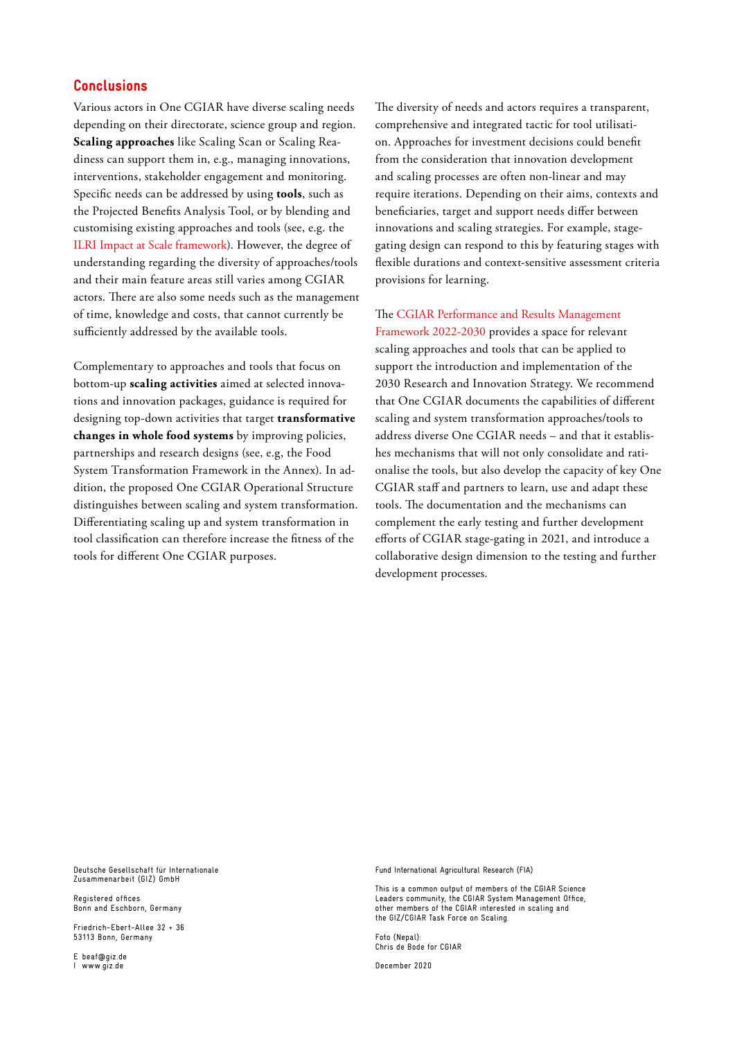## **Conclusions**

Various actors in One CGIAR have diverse scaling needs depending on their directorate, science group and region. **Scaling approaches** like Scaling Scan or Scaling Readiness can support them in, e.g., managing innovations, interventions, stakeholder engagement and monitoring. Specific needs can be addressed by using **tools**, such as the Projected Benefits Analysis Tool, or by blending and customising existing approaches and tools (see, e.g. the [ILRI Impact at Scale framework\)](https://www.ilri.org/research/programs/impact-scale). However, the degree of understanding regarding the diversity of approaches/tools and their main feature areas still varies among CGIAR actors. There are also some needs such as the management of time, knowledge and costs, that cannot currently be sufficiently addressed by the available tools.

Complementary to approaches and tools that focus on bottom-up **scaling activities** aimed at selected innovations and innovation packages, guidance is required for designing top-down activities that target **transformative changes in whole food systems** by improving policies, partnerships and research designs (see, e.g, the Food System Transformation Framework in the Annex). In addition, the proposed One CGIAR Operational Structure distinguishes between scaling and system transformation. Differentiating scaling up and system transformation in tool classification can therefore increase the fitness of the tools for different One CGIAR purposes.

The diversity of needs and actors requires a transparent, comprehensive and integrated tactic for tool utilisation. Approaches for investment decisions could benefit from the consideration that innovation development and scaling processes are often non-linear and may require iterations. Depending on their aims, contexts and beneficiaries, target and support needs differ between innovations and scaling strategies. For example, stagegating design can respond to this by featuring stages with flexible durations and context-sensitive assessment criteria provisions for learning.

The [CGIAR Performance and Results Management](https://storage.googleapis.com/cgiarorg/2020/11/SB18-02aii_CGIAR-Performance-and-Results-Management-Framework-2022-30.pdf)  [Framework 2022-2030](https://storage.googleapis.com/cgiarorg/2020/11/SB18-02aii_CGIAR-Performance-and-Results-Management-Framework-2022-30.pdf) provides a space for relevant scaling approaches and tools that can be applied to support the introduction and implementation of the 2030 Research and Innovation Strategy. We recommend that One CGIAR documents the capabilities of different scaling and system transformation approaches/tools to address diverse One CGIAR needs – and that it establishes mechanisms that will not only consolidate and rationalise the tools, but also develop the capacity of key One CGIAR staff and partners to learn, use and adapt these tools. The documentation and the mechanisms can complement the early testing and further development efforts of CGIAR stage-gating in 2021, and introduce a collaborative design dimension to the testing and further development processes.

Deutsche Gesellschaft für Internationale Zusammenarbeit (GIZ) GmbH

Registered offices Bonn and Eschborn, Germany

Friedrich-Ebert-Allee 32 + 36 53113 Bonn, Germany

E beaf@giz.de I www.giz.de

Fund International Agricultural Research (FIA)

This is a common output of members of the CGIAR Science Leaders community, the CGIAR System Management Office, other members of the CGIAR interested in scaling and the GIZ/CGIAR Task Force on Scaling.

Foto (Nepal): Chris de Bode for CGIAR

December 2020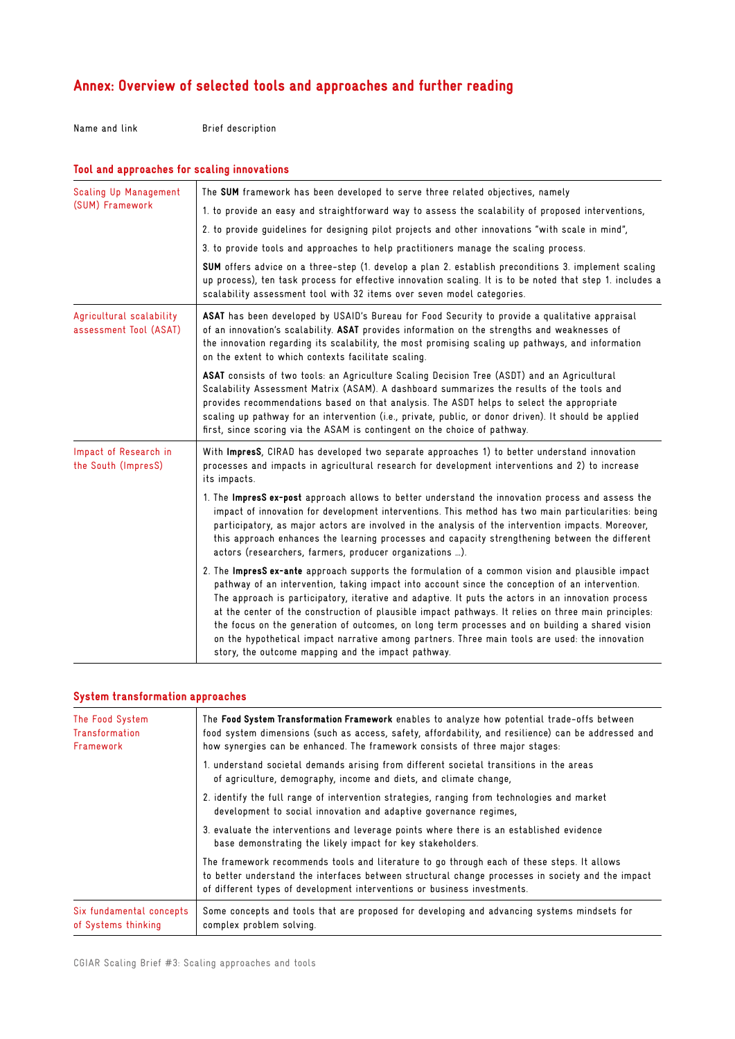# Annex: Overview of selected tools and approaches and further reading

Name and link Brief description

| Tool and approaches for scaling innovations        |                                                                                                                                                                                                                                                                                                                                                                                                                                                                                                                                                                                                                                                                                  |  |
|----------------------------------------------------|----------------------------------------------------------------------------------------------------------------------------------------------------------------------------------------------------------------------------------------------------------------------------------------------------------------------------------------------------------------------------------------------------------------------------------------------------------------------------------------------------------------------------------------------------------------------------------------------------------------------------------------------------------------------------------|--|
| Scaling Up Management<br>(SUM) Framework           | The SUM framework has been developed to serve three related objectives, namely<br>1. to provide an easy and straightforward way to assess the scalability of proposed interventions,<br>2. to provide guidelines for designing pilot projects and other innovations "with scale in mind",<br>3. to provide tools and approaches to help practitioners manage the scaling process.<br>SUM offers advice on a three-step (1. develop a plan 2. establish preconditions 3. implement scaling<br>up process), ten task process for effective innovation scaling. It is to be noted that step 1. includes a<br>scalability assessment tool with 32 items over seven model categories. |  |
| Agricultural scalability<br>assessment Tool (ASAT) | ASAT has been developed by USAID's Bureau for Food Security to provide a qualitative appraisal<br>of an innovation's scalability. ASAT provides information on the strengths and weaknesses of<br>the innovation regarding its scalability, the most promising scaling up pathways, and information<br>on the extent to which contexts facilitate scaling.                                                                                                                                                                                                                                                                                                                       |  |
|                                                    | ASAT consists of two tools: an Agriculture Scaling Decision Tree (ASDT) and an Agricultural<br>Scalability Assessment Matrix (ASAM). A dashboard summarizes the results of the tools and<br>provides recommendations based on that analysis. The ASDT helps to select the appropriate<br>scaling up pathway for an intervention (i.e., private, public, or donor driven). It should be applied<br>first, since scoring via the ASAM is contingent on the choice of pathway.                                                                                                                                                                                                      |  |
| Impact of Research in<br>the South (ImpresS)       | With ImpresS, CIRAD has developed two separate approaches 1) to better understand innovation<br>processes and impacts in agricultural research for development interventions and 2) to increase<br>its impacts.                                                                                                                                                                                                                                                                                                                                                                                                                                                                  |  |
|                                                    | 1. The ImpresS ex-post approach allows to better understand the innovation process and assess the<br>impact of innovation for development interventions. This method has two main particularities: being<br>participatory, as major actors are involved in the analysis of the intervention impacts. Moreover,<br>this approach enhances the learning processes and capacity strengthening between the different<br>actors (researchers, farmers, producer organizations ).                                                                                                                                                                                                      |  |
|                                                    | 2. The ImpresS ex-ante approach supports the formulation of a common vision and plausible impact<br>pathway of an intervention, taking impact into account since the conception of an intervention.<br>The approach is participatory, iterative and adaptive. It puts the actors in an innovation process<br>at the center of the construction of plausible impact pathways. It relies on three main principles:<br>the focus on the generation of outcomes, on long term processes and on building a shared vision<br>on the hypothetical impact narrative among partners. Three main tools are used: the innovation<br>story, the outcome mapping and the impact pathway.      |  |

## System transformation approaches

| The Food System<br><b>Transformation</b><br>Framework | The Food System Transformation Framework enables to analyze how potential trade-offs between<br>food system dimensions (such as access, safety, affordability, and resilience) can be addressed and<br>how synergies can be enhanced. The framework consists of three major stages: |
|-------------------------------------------------------|-------------------------------------------------------------------------------------------------------------------------------------------------------------------------------------------------------------------------------------------------------------------------------------|
|                                                       | 1. understand societal demands arising from different societal transitions in the areas<br>of agriculture, demography, income and diets, and climate change,                                                                                                                        |
|                                                       | 2. identify the full range of intervention strategies, ranging from technologies and market<br>development to social innovation and adaptive governance regimes,                                                                                                                    |
|                                                       | 3. evaluate the interventions and leverage points where there is an established evidence<br>base demonstrating the likely impact for key stakeholders.                                                                                                                              |
|                                                       | The framework recommends tools and literature to go through each of these steps. It allows<br>to better understand the interfaces between structural change processes in society and the impact<br>of different types of development interventions or business investments.         |
| Six fundamental concepts<br>of Systems thinking       | Some concepts and tools that are proposed for developing and advancing systems mindsets for<br>complex problem solving.                                                                                                                                                             |